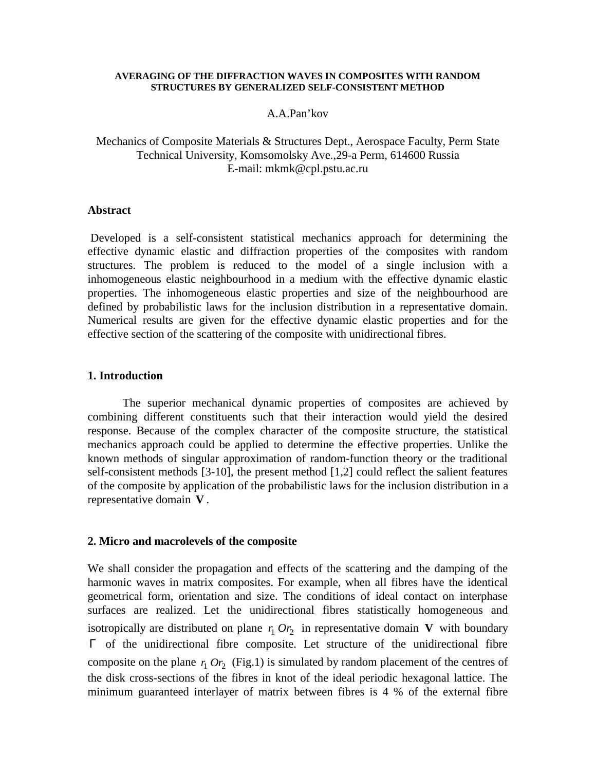#### **AVERAGING OF THE DIFFRACTION WAVES IN COMPOSITES WITH RANDOM STRUCTURES BY GENERALIZED SELF-CONSISTENT METHOD**

## A.A.Pan'kov

# Mechanics of Composite Materials & Structures Dept., Aerospace Faculty, Perm State Technical University, Komsomolsky Ave.,29-a Perm, 614600 Russia E-mail: mkmk@cpl.pstu.ac.ru

## **Abstract**

 Developed is a self-consistent statistical mechanics approach for determining the effective dynamic elastic and diffraction properties of the composites with random structures. The problem is reduced to the model of a single inclusion with a inhomogeneous elastic neighbourhood in a medium with the effective dynamic elastic properties. The inhomogeneous elastic properties and size of the neighbourhood are defined by probabilistic laws for the inclusion distribution in a representative domain. Numerical results are given for the effective dynamic elastic properties and for the effective section of the scattering of the composite with unidirectional fibres.

### **1. Introduction**

The superior mechanical dynamic properties of composites are achieved by combining different constituents such that their interaction would yield the desired response. Because of the complex character of the composite structure, the statistical mechanics approach could be applied to determine the effective properties. Unlike the known methods of singular approximation of random-function theory or the traditional self-consistent methods [3-10], the present method [1,2] could reflect the salient features of the composite by application of the probabilistic laws for the inclusion distribution in a representative domain **V** .

#### **2. Micro and macrolevels of the composite**

We shall consider the propagation and effects of the scattering and the damping of the harmonic waves in matrix composites. For example, when all fibres have the identical geometrical form, orientation and size. The conditions of ideal contact on interphase surfaces are realized. Let the unidirectional fibres statistically homogeneous and isotropically are distributed on plane  $r_1 Or_2$  in representative domain **V** with boundary Γ of the unidirectional fibre composite. Let structure of the unidirectional fibre composite on the plane  $r_1$  Or<sub>2</sub> (Fig.1) is simulated by random placement of the centres of the disk cross-sections of the fibres in knot of the ideal periodic hexagonal lattice. The minimum guaranteed interlayer of matrix between fibres is 4 % of the external fibre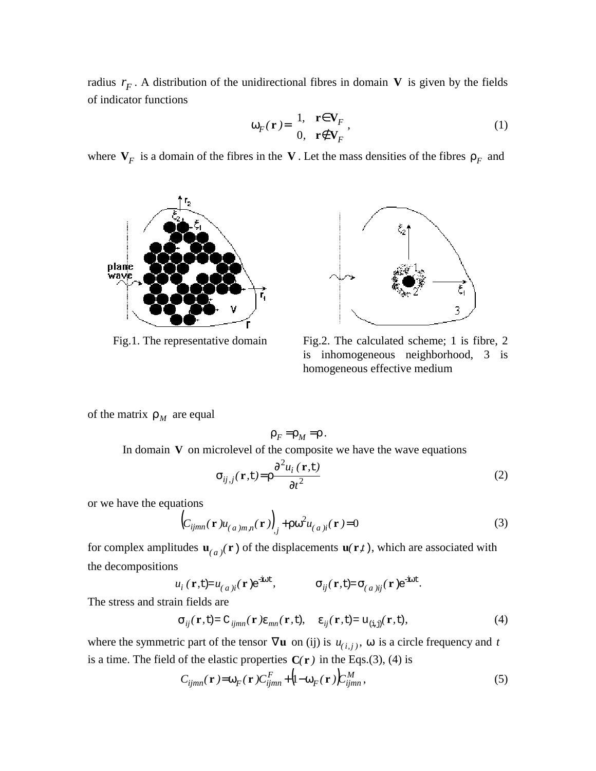radius  $r_F$ . A distribution of the unidirectional fibres in domain **V** is given by the fields of indicator functions

$$
\omega_F(\mathbf{r}) = \begin{cases} 1, & \mathbf{r} \in \mathbf{V}_F \\ 0, & \mathbf{r} \notin \mathbf{V}_F \end{cases},
$$
 (1)

where  $V_F$  is a domain of the fibres in the V. Let the mass densities of the fibres  $\rho_F$  and





Fig.1. The representative domain Fig.2. The calculated scheme; 1 is fibre, 2 is inhomogeneous neighborhood, 3 is homogeneous effective medium

of the matrix  $\rho_M$  are equal

$$
\rho_F = \rho_M = \rho.
$$

In domain  $V$  on microlevel of the composite we have the wave equations

$$
\sigma_{ij,j}(\mathbf{r},t) = \rho \frac{\partial^2 u_i(\mathbf{r},t)}{\partial t^2}
$$
 (2)

or we have the equations

$$
\left(C_{ijmn}(\mathbf{r})u_{(a)m,n}(\mathbf{r})\right)_{,j} + \rho \omega^2 u_{(a)i}(\mathbf{r}) = 0 \tag{3}
$$

for complex amplitudes  $\mathbf{u}_{(a)}(\mathbf{r})$  of the displacements  $\mathbf{u}(\mathbf{r},t)$ , which are associated with the decompositions

 $u_i$  ( $\mathbf{r}, \mathbf{t}$ )= $u_{(a)ij}(\mathbf{r})e^{-i\omega t}$ ,  $\sigma_{ij}(\mathbf{r}, \mathbf{t})=\sigma_{(a)ij}(\mathbf{r})e^{-i\omega t}$ .

The stress and strain fields are

$$
\sigma_{ij}(\mathbf{r},t) = C_{ijmn}(\mathbf{r})\varepsilon_{mn}(\mathbf{r},t), \quad \varepsilon_{ij}(\mathbf{r},t) = u_{(i,j)}(\mathbf{r},t), \tag{4}
$$

where the symmetric part of the tensor  $\nabla$ **u** on (ij) is  $u_{(i,j)}$ ,  $\omega$  is a circle frequency and *t* is a time. The field of the elastic properties  $C(r)$  in the Eqs.(3), (4) is

$$
C_{ijmn}(\mathbf{r}) = \omega_F(\mathbf{r}) C_{ijmn}^F + (1 - \omega_F(\mathbf{r})) C_{ijmn}^M,
$$
\n(5)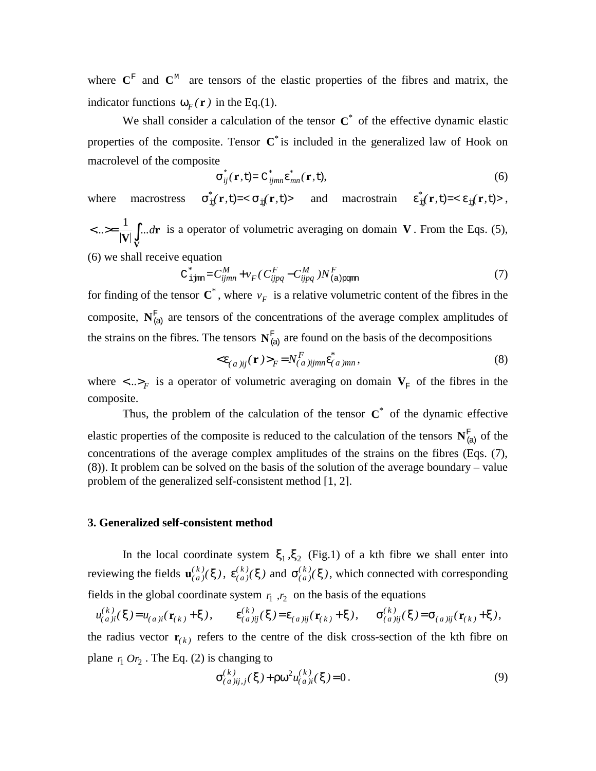where  $\mathbf{C}^{\mathrm{F}}$  and  $\mathbf{C}^{\mathrm{M}}$  are tensors of the elastic properties of the fibres and matrix, the indicator functions  $\omega_F(\mathbf{r})$  in the Eq.(1).

We shall consider a calculation of the tensor **C***\** of the effective dynamic elastic properties of the composite. Tensor **C***\** is included in the generalized law of Hook on macrolevel of the composite

$$
\sigma_{ij}^*(\mathbf{r},t) = C_{ijmn}^* \varepsilon_{mn}^*(\mathbf{r},t),
$$
\n(6)

where macrostress  $\sigma_{if}^*({\bf r}, t) = < \sigma_{if}({\bf r}, t) >$  and macrostrain  $\epsilon_{if}^*({\bf r}, t) = < \epsilon_{if}({\bf r}, t) >$ ,  $\langle ... \rangle = \frac{1}{|V|} \int_{V} ...$ **r V** dr is a operator of volumetric averaging on domain **V**. From the Eqs. (5),

(6) we shall receive equation

$$
C_{\text{ijmn}}^* = C_{ijmn}^M + v_F (C_{ijpq}^F - C_{ijpq}^M) N_{(a)\text{pqmn}}^F
$$
 (7)

for finding of the tensor  $\mathbf{C}^*$ , where  $v_F$  is a relative volumetric content of the fibres in the composite,  $N_{(a)}^F$  are tensors of the concentrations of the average complex amplitudes of the strains on the fibres. The tensors  $N_{(a)}^F$  are found on the basis of the decompositions

$$
\langle \varepsilon_{(a)ij}(\mathbf{r}) \rangle_F = N_{(a)ijmn}^F \varepsilon_{(a)mn}^*,\tag{8}
$$

where  $\langle ... \rangle_F$  is a operator of volumetric averaging on domain  $V_F$  of the fibres in the composite.

Thus, the problem of the calculation of the tensor  $C^*$  of the dynamic effective elastic properties of the composite is reduced to the calculation of the tensors  $N_{(a)}^{\text{F}}$  of the concentrations of the average complex amplitudes of the strains on the fibres (Eqs. (7), (8)). It problem can be solved on the basis of the solution of the average boundary – value problem of the generalized self-consistent method [1, 2].

#### **3. Generalized self-consistent method**

In the local coordinate system  $\xi_1, \xi_2$  (Fig.1) of a kth fibre we shall enter into reviewing the fields  $\mathbf{u}_{(a)}^{(k)}(\xi)$ ,  $\epsilon_{(a)}^{(k)}(\xi)$  and  $\sigma_{(a)}^{(k)}(\xi)$ , which connected with corresponding fields in the global coordinate system  $r_1$ ,  $r_2$  on the basis of the equations

$$
u_{(a)ij}^{(k)}(\xi) = u_{(a)ij}(\mathbf{r}_{(k)} + \xi), \qquad \varepsilon_{(a)ij}^{(k)}(\xi) = \varepsilon_{(a)ij}(\mathbf{r}_{(k)} + \xi), \qquad \sigma_{(a)ij}^{(k)}(\xi) = \sigma_{(a)ij}(\mathbf{r}_{(k)} + \xi),
$$

the radius vector  $\mathbf{r}_{(k)}$  refers to the centre of the disk cross-section of the kth fibre on plane  $r_1$   $Or_2$ . The Eq. (2) is changing to

$$
\sigma_{(a)ij,j}^{(k)}(\xi) + \rho \omega^2 u_{(a)i}^{(k)}(\xi) = 0.
$$
\n(9)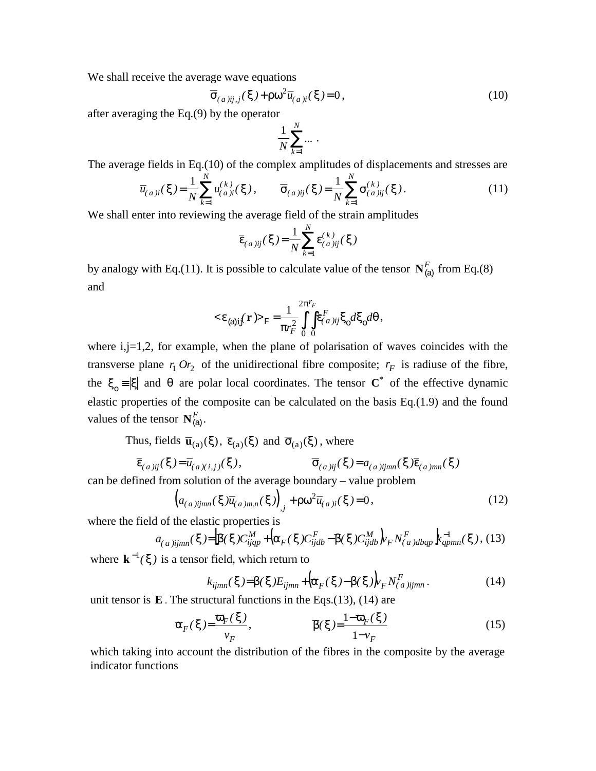We shall receive the average wave equations

$$
\overline{\sigma}_{(a)ij,j}(\xi) + \rho \omega^2 \overline{u}_{(a)j}(\xi) = 0, \qquad (10)
$$

after averaging the Eq.(9) by the operator

$$
\frac{1}{N}\sum_{k=1}^N\cdots\,.
$$

The average fields in Eq.(10) of the complex amplitudes of displacements and stresses are

$$
\overline{u}_{(a)i}(\xi) = \frac{1}{N} \sum_{k=1}^{N} u_{(a)i}^{(k)}(\xi), \qquad \overline{\sigma}_{(a)ij}(\xi) = \frac{1}{N} \sum_{k=1}^{N} \sigma_{(a)ij}^{(k)}(\xi).
$$
\n(11)

We shall enter into reviewing the average field of the strain amplitudes

$$
\overline{\varepsilon}_{(a)ij}(\xi) = \frac{1}{N} \sum_{k=1}^{N} \varepsilon_{(a)ij}^{(k)}(\xi)
$$

by analogy with Eq.(11). It is possible to calculate value of the tensor  $\mathbf{N}_{(a)}^F$  from Eq.(8) and

< (a)ij )>F ε *(* **r** ε ξ ξ θ π <sup>=</sup> ∫ ∫ π *d d r Fr F ( a )ij F* ο ο 2 0 0 2 <sup>1</sup> ,

where i,j=1,2, for example, when the plane of polarisation of waves coincides with the transverse plane  $r_1$  Or<sub>2</sub> of the unidirectional fibre composite;  $r_F$  is radiuse of the fibre, the  $\xi_0 = |\xi|$  and  $\theta$  are polar local coordinates. The tensor  $C^*$  of the effective dynamic elastic properties of the composite can be calculated on the basis Eq.(1.9) and the found values of the tensor  $\mathbf{N}_{\text{(a)}}^F$ .

Thus, fields  $\overline{\mathbf{u}}_{(a)}(\xi)$ ,  $\overline{\epsilon}_{(a)}(\xi)$  and  $\overline{\sigma}_{(a)}(\xi)$ , where

$$
\overline{\varepsilon}_{(a)ij}(\xi) = \overline{u}_{(a)(i,j)}(\xi), \qquad \overline{\sigma}_{(a)ij}(\xi) = a_{(a)ijmn}(\xi)\overline{\varepsilon}_{(a)mn}(\xi)
$$

can be defined from solution of the average boundary – value problem

$$
\left(a_{(a)ijmn}(\xi)\overline{u}_{(a)m,n}(\xi)\right)_{,j} + \rho\omega^2\overline{u}_{(a)i}(\xi) = 0, \qquad (12)
$$

where the field of the elastic properties is

$$
a_{(a)ijmn}(\xi) = \left[\beta(\xi)C_{ijqp}^M + \left(\alpha_F(\xi)C_{ijdb}^F - \beta(\xi)C_{ijdb}^M\right)_FN_{(a)dbqp}^F\right]k_{qpmn}^{-1}(\xi),
$$
 (13)

where  $\mathbf{k}^{-1}(\xi)$  is a tensor field, which return to

$$
k_{ijmn}(\xi) = \overline{\beta}(\xi)E_{ijmn} + \left(\overline{\alpha}_F(\xi) - \overline{\beta}(\xi)\right)_{F} N_{(a)ijmn}^{F}.
$$
 (14)

unit tensor is **E** . The structural functions in the Eqs.(13), (14) are

$$
\mathfrak{a}_F(\xi) = \frac{\mathfrak{a}_F(\xi)}{v_F}, \qquad \qquad \mathfrak{B}(\xi) = \frac{1 - \mathfrak{a}_F(\xi)}{1 - v_F} \tag{15}
$$

which taking into account the distribution of the fibres in the composite by the average indicator functions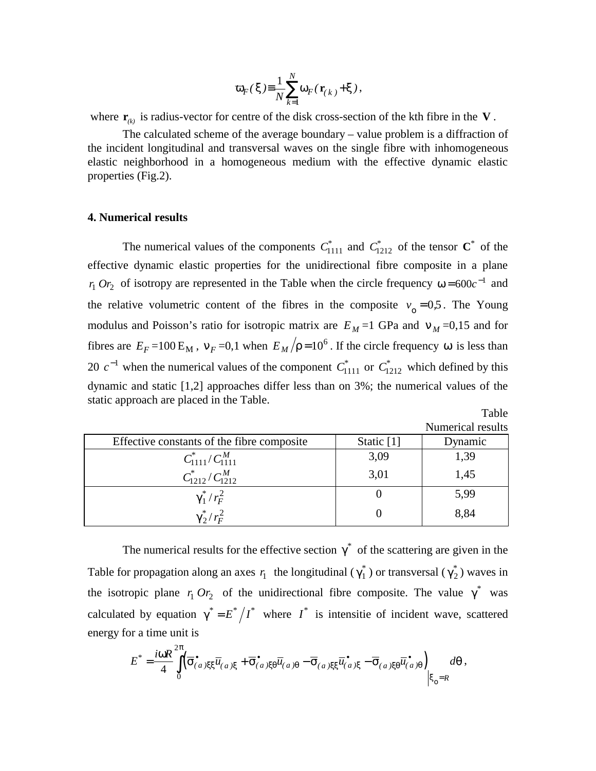$$
\overline{\omega}_F(\xi) \equiv \frac{1}{N} \sum_{k=1}^N \omega_F(\mathbf{r}_{(k)} + \xi),
$$

where  $\mathbf{r}_{(k)}$  is radius-vector for centre of the disk cross-section of the kth fibre in the **V**.

The calculated scheme of the average boundary – value problem is a diffraction of the incident longitudinal and transversal waves on the single fibre with inhomogeneous elastic neighborhood in a homogeneous medium with the effective dynamic elastic properties (Fig.2).

## **4. Numerical results**

The numerical values of the components  $C_{1111}^*$  and  $C_{1212}^*$  of the tensor  $\mathbf{C}^*$  of the effective dynamic elastic properties for the unidirectional fibre composite in a plane *r*<sub>1</sub>  $Or_2$  of isotropy are represented in the Table when the circle frequency  $\omega = 600c^{-1}$  and the relative volumetric content of the fibres in the composite  $v_0 = 0.5$ . The Young modulus and Poisson's ratio for isotropic matrix are  $E_M = 1$  GPa and  $v_M = 0.15$  and for fibres are  $E_F = 100 \text{ E}_M$ ,  $v_F = 0.1$  when  $E_M / \rho = 10^6$ . If the circle frequency  $\omega$  is less than 20  $c^{-1}$  when the numerical values of the component  $C_{1111}^*$  or  $C_{1212}^*$  which defined by this dynamic and static [1,2] approaches differ less than on 3%; the numerical values of the static approach are placed in the Table.  $T<sub>11</sub>$ 

|                   | 1 avie |  |
|-------------------|--------|--|
| Numerical results |        |  |

| Effective constants of the fibre composite | Static [1] | Dynamic |
|--------------------------------------------|------------|---------|
| $C_{1111}^*/C_{1111}^M$                    | 3,09       | 1,39    |
| $C_{1212}^*/C_{1212}^M$                    | 3,01       | 1,45    |
| $\gamma_1^* / r_F^2$                       |            | 5,99    |
| $\gamma_2^*/r_F^2$                         |            | 8,84    |

The numerical results for the effective section  $\gamma^*$  of the scattering are given in the Table for propagation along an axes  $r_1$  the longitudinal ( $\gamma_1^*$ ) or transversal ( $\gamma_2^*$ ) waves in the isotropic plane  $r_1 Or_2$  of the unidirectional fibre composite. The value  $\gamma^*$  was calculated by equation  $\gamma^* = E^* / I^*$  where  $I^*$  is intensitie of incident wave, scattered energy for a time unit is

$$
E^* = \frac{i\omega R}{4} \int\limits_0^{2\pi} (\overline{\sigma}^{\bullet}_{(a)\xi\xi}\overline{u}_{(a)\xi} + \overline{\sigma}^{\bullet}_{(a)\xi\theta}\overline{u}_{(a)\theta} - \overline{\sigma}_{(a)\xi\xi}\overline{u}^{\bullet}_{(a)\xi} - \overline{\sigma}_{(a)\xi\theta}\overline{u}^{\bullet}_{(a)\theta}) \Big|_{\xi_0=R} d\theta,
$$